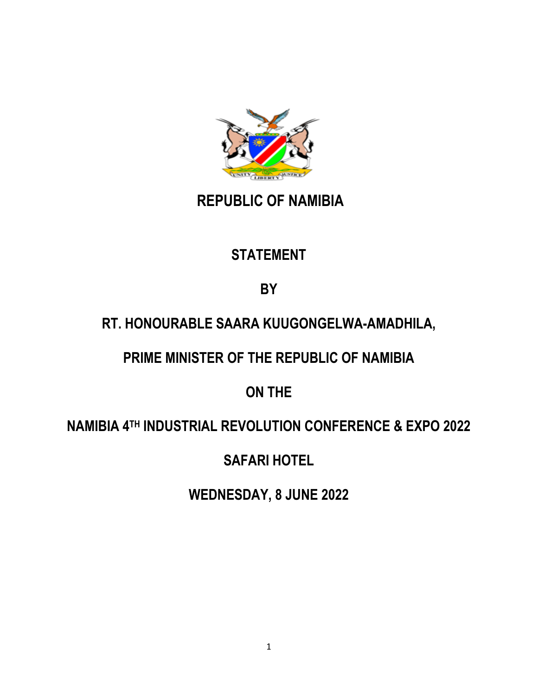

## **REPUBLIC OF NAMIBIA**

## **STATEMENT**

**BY**

## **RT. HONOURABLE SAARA KUUGONGELWA-AMADHILA,**

**PRIME MINISTER OF THE REPUBLIC OF NAMIBIA** 

**ON THE** 

## **NAMIBIA 4TH INDUSTRIAL REVOLUTION CONFERENCE & EXPO 2022**

**SAFARI HOTEL**

**WEDNESDAY, 8 JUNE 2022**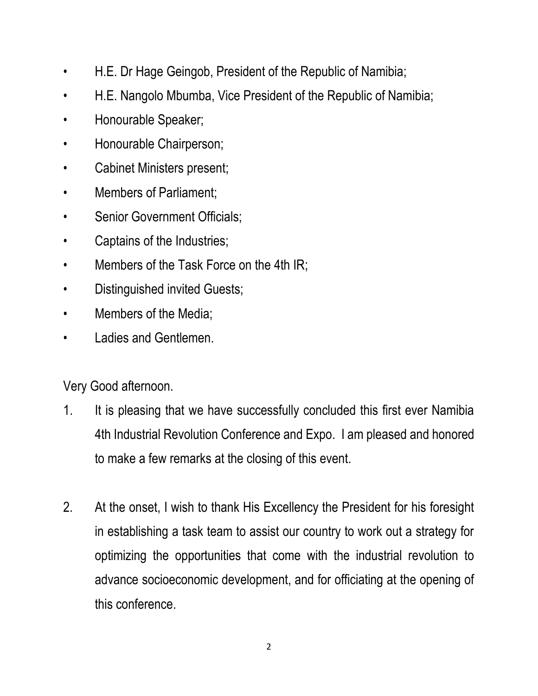- H.E. Dr Hage Geingob, President of the Republic of Namibia;
- H.E. Nangolo Mbumba, Vice President of the Republic of Namibia;
- Honourable Speaker;
- Honourable Chairperson;
- Cabinet Ministers present;
- Members of Parliament;
- Senior Government Officials;
- Captains of the Industries;
- Members of the Task Force on the 4th IR;
- Distinguished invited Guests;
- Members of the Media;
- Ladies and Gentlemen.

Very Good afternoon.

- 1. It is pleasing that we have successfully concluded this first ever Namibia 4th Industrial Revolution Conference and Expo. I am pleased and honored to make a few remarks at the closing of this event.
- 2. At the onset, I wish to thank His Excellency the President for his foresight in establishing a task team to assist our country to work out a strategy for optimizing the opportunities that come with the industrial revolution to advance socioeconomic development, and for officiating at the opening of this conference.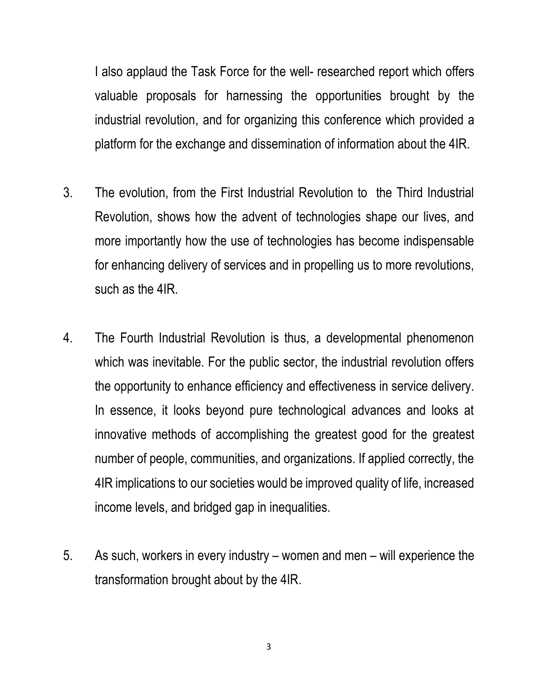I also applaud the Task Force for the well- researched report which offers valuable proposals for harnessing the opportunities brought by the industrial revolution, and for organizing this conference which provided a platform for the exchange and dissemination of information about the 4IR.

- 3. The evolution, from the First Industrial Revolution to the Third Industrial Revolution, shows how the advent of technologies shape our lives, and more importantly how the use of technologies has become indispensable for enhancing delivery of services and in propelling us to more revolutions, such as the 4IR.
- 4. The Fourth Industrial Revolution is thus, a developmental phenomenon which was inevitable. For the public sector, the industrial revolution offers the opportunity to enhance efficiency and effectiveness in service delivery. In essence, it looks beyond pure technological advances and looks at innovative methods of accomplishing the greatest good for the greatest number of people, communities, and organizations. If applied correctly, the 4IR implications to our societies would be improved quality of life, increased income levels, and bridged gap in inequalities.
- 5. As such, workers in every industry women and men will experience the transformation brought about by the 4IR.

3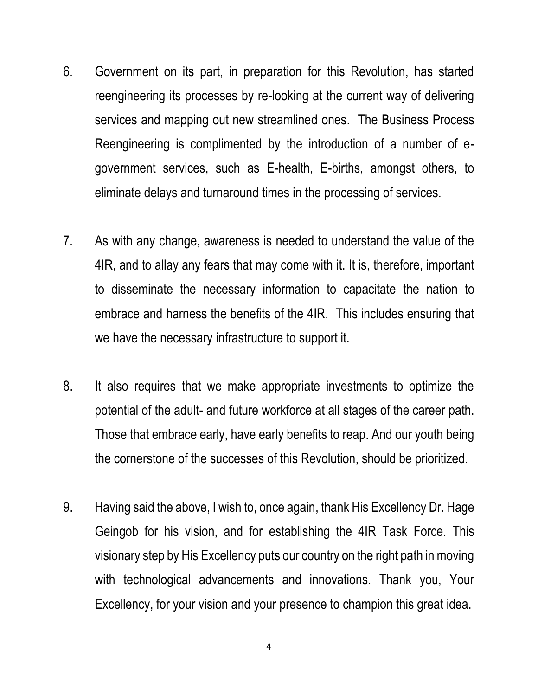- 6. Government on its part, in preparation for this Revolution, has started reengineering its processes by re-looking at the current way of delivering services and mapping out new streamlined ones. The Business Process Reengineering is complimented by the introduction of a number of egovernment services, such as E-health, E-births, amongst others, to eliminate delays and turnaround times in the processing of services.
- 7. As with any change, awareness is needed to understand the value of the 4IR, and to allay any fears that may come with it. It is, therefore, important to disseminate the necessary information to capacitate the nation to embrace and harness the benefits of the 4IR. This includes ensuring that we have the necessary infrastructure to support it.
- 8. It also requires that we make appropriate investments to optimize the potential of the adult- and future workforce at all stages of the career path. Those that embrace early, have early benefits to reap. And our youth being the cornerstone of the successes of this Revolution, should be prioritized.
- 9. Having said the above, I wish to, once again, thank His Excellency Dr. Hage Geingob for his vision, and for establishing the 4IR Task Force. This visionary step by His Excellency puts our country on the right path in moving with technological advancements and innovations. Thank you, Your Excellency, for your vision and your presence to champion this great idea.